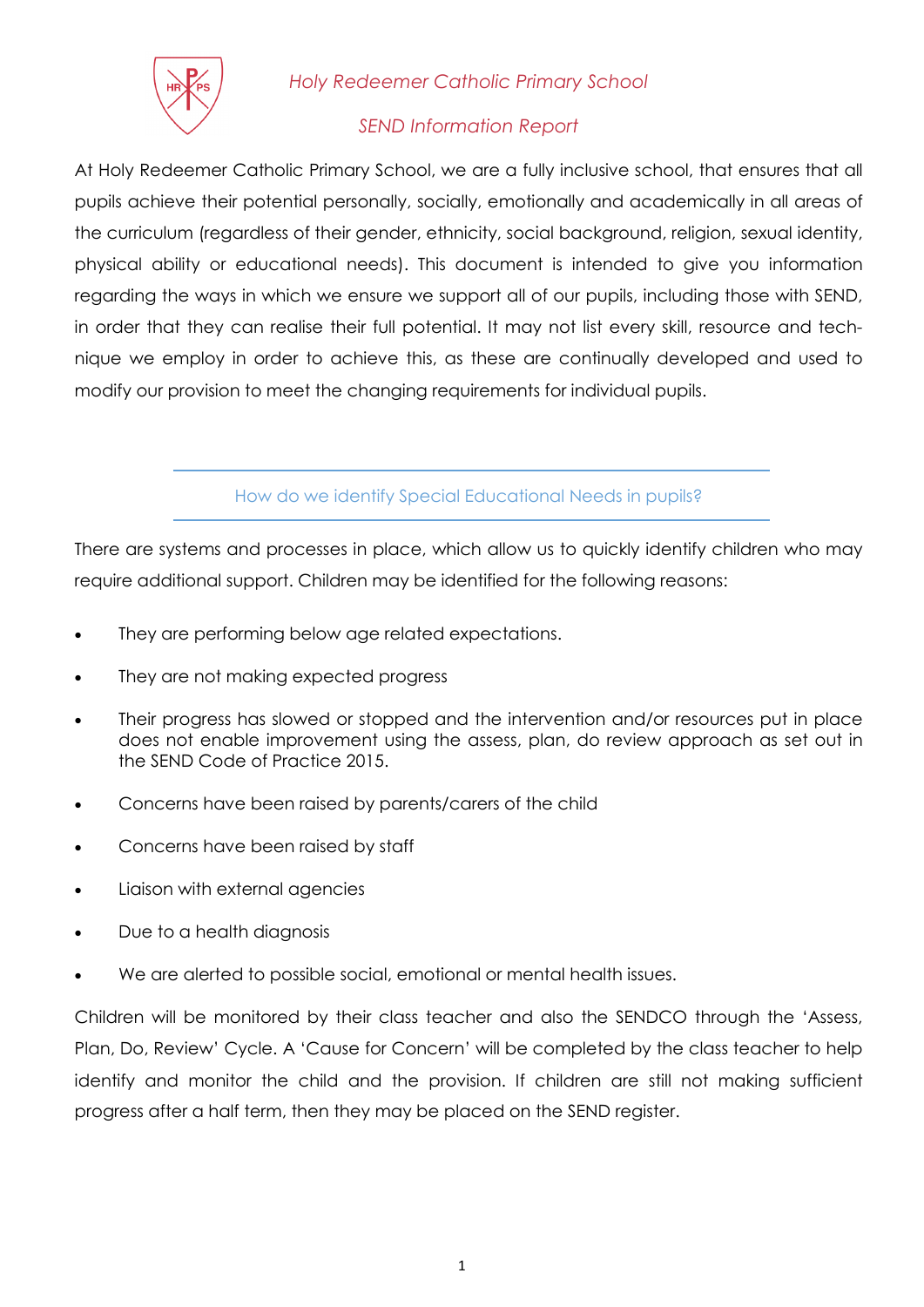

*Holy Redeemer Catholic Primary School* 

## *SEND Information Report*

At Holy Redeemer Catholic Primary School, we are a fully inclusive school, that ensures that all pupils achieve their potential personally, socially, emotionally and academically in all areas of the curriculum (regardless of their gender, ethnicity, social background, religion, sexual identity, physical ability or educational needs). This document is intended to give you information regarding the ways in which we ensure we support all of our pupils, including those with SEND, in order that they can realise their full potential. It may not list every skill, resource and technique we employ in order to achieve this, as these are continually developed and used to modify our provision to meet the changing requirements for individual pupils.

How do we identify Special Educational Needs in pupils?

There are systems and processes in place, which allow us to quickly identify children who may require additional support. Children may be identified for the following reasons:

- They are performing below age related expectations.
- They are not making expected progress
- Their progress has slowed or stopped and the intervention and/or resources put in place does not enable improvement using the assess, plan, do review approach as set out in the SEND Code of Practice 2015.
- Concerns have been raised by parents/carers of the child
- Concerns have been raised by staff
- Liaison with external agencies
- Due to a health diagnosis
- We are alerted to possible social, emotional or mental health issues.

Children will be monitored by their class teacher and also the SENDCO through the 'Assess, Plan, Do, Review' Cycle. A 'Cause for Concern' will be completed by the class teacher to help identify and monitor the child and the provision. If children are still not making sufficient progress after a half term, then they may be placed on the SEND register.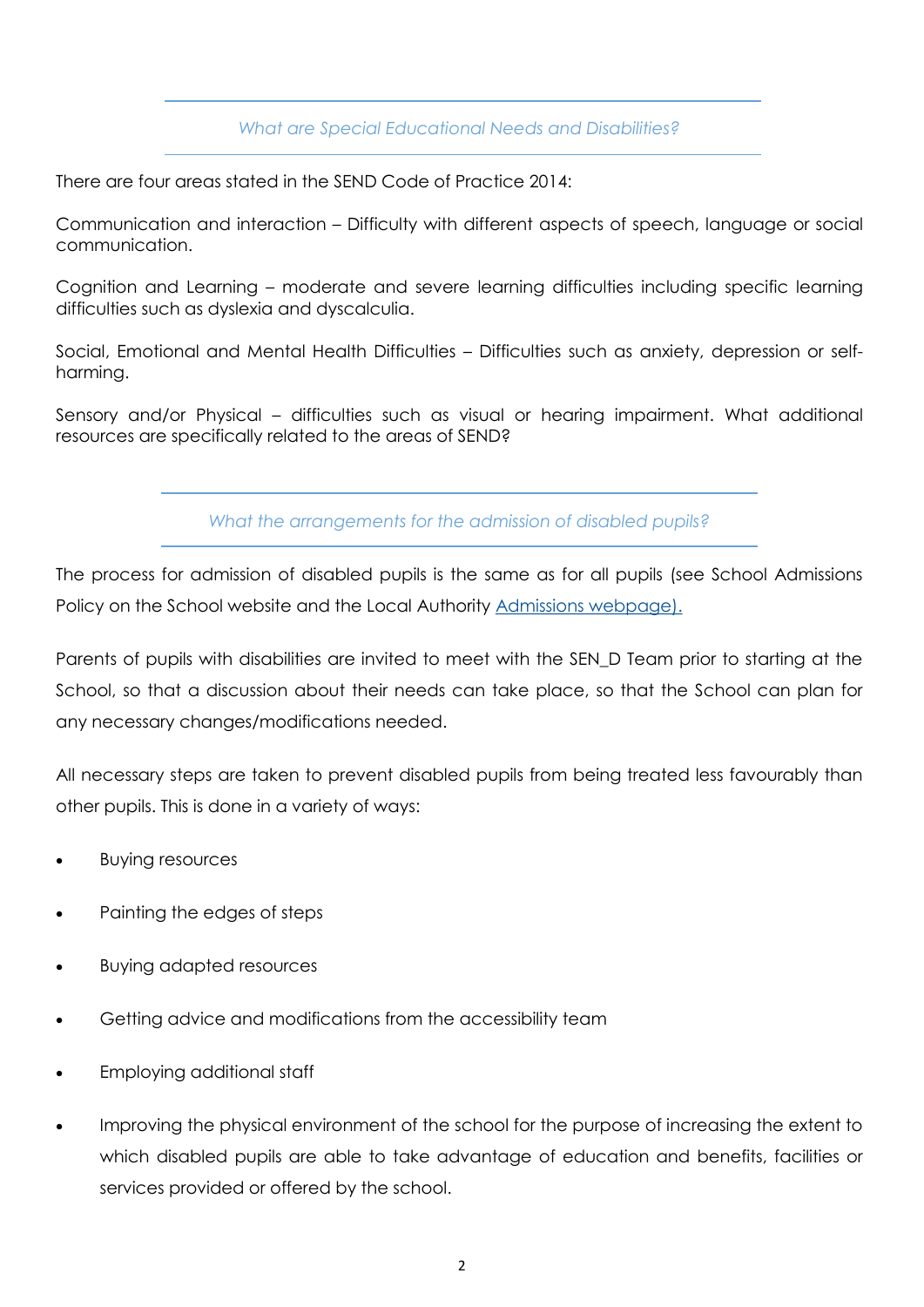### *What are Special Educational Needs and Disabilities?*

There are four areas stated in the SEND Code of Practice 2014:

Communication and interaction – Difficulty with different aspects of speech, language or social communication.

Cognition and Learning – moderate and severe learning difficulties including specific learning difficulties such as dyslexia and dyscalculia.

Social, Emotional and Mental Health Difficulties – Difficulties such as anxiety, depression or selfharming.

Sensory and/or Physical – difficulties such as visual or hearing impairment. What additional resources are specifically related to the areas of SEND?

*What the arrangements for the admission of disabled pupils?* 

The process for admission of disabled pupils is the same as for all pupils (see School Admissions Policy on the School website and the Local Authority [Admissions webpage\).](https://www.worcestershire.gov.uk/info/20099/school_admissions)

Parents of pupils with disabilities are invited to meet with the SEN\_D Team prior to starting at the School, so that a discussion about their needs can take place, so that the School can plan for any necessary changes/modifications needed.

All necessary steps are taken to prevent disabled pupils from being treated less favourably than other pupils. This is done in a variety of ways:

- Buying resources
- Painting the edges of steps
- Buying adapted resources
- Getting advice and modifications from the accessibility team
- Employing additional staff
- Improving the physical environment of the school for the purpose of increasing the extent to which disabled pupils are able to take advantage of education and benefits, facilities or services provided or offered by the school.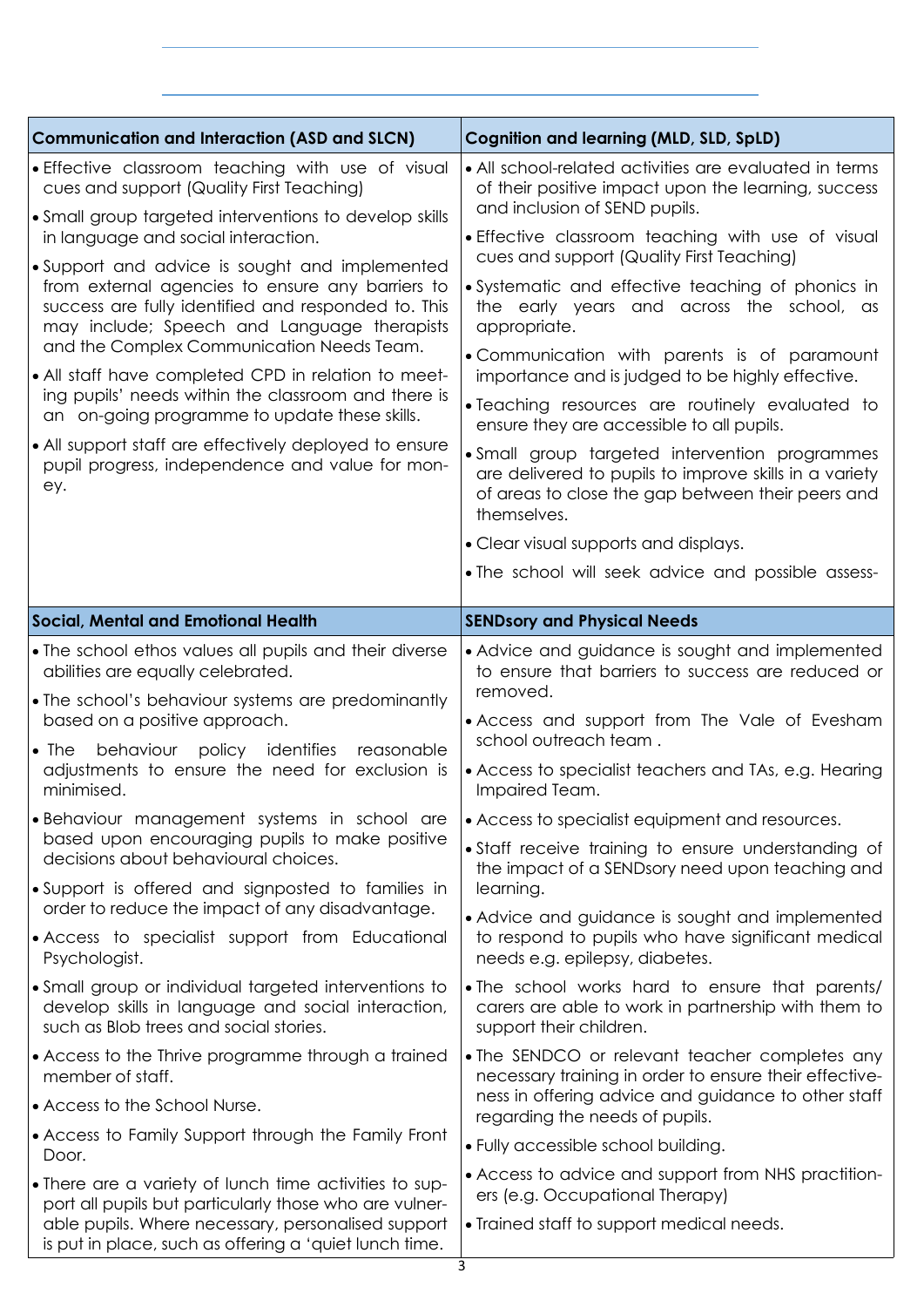| <b>Communication and Interaction (ASD and SLCN)</b>                                                                                                                                                                                                                                                                                                                                                                                                                                                                                                                                                                                                                                                                                         | <b>Cognition and learning (MLD, SLD, SpLD)</b>                                                                                                                                                                                                                                                                                                                                                                                                                                                                                                                                                                                                                                                                                                                                                                                                        |
|---------------------------------------------------------------------------------------------------------------------------------------------------------------------------------------------------------------------------------------------------------------------------------------------------------------------------------------------------------------------------------------------------------------------------------------------------------------------------------------------------------------------------------------------------------------------------------------------------------------------------------------------------------------------------------------------------------------------------------------------|-------------------------------------------------------------------------------------------------------------------------------------------------------------------------------------------------------------------------------------------------------------------------------------------------------------------------------------------------------------------------------------------------------------------------------------------------------------------------------------------------------------------------------------------------------------------------------------------------------------------------------------------------------------------------------------------------------------------------------------------------------------------------------------------------------------------------------------------------------|
| • Effective classroom teaching with use of visual<br>cues and support (Quality First Teaching)<br>• Small group targeted interventions to develop skills<br>in language and social interaction.<br>• Support and advice is sought and implemented<br>from external agencies to ensure any barriers to<br>success are fully identified and responded to. This<br>may include; Speech and Language therapists<br>and the Complex Communication Needs Team.<br>• All staff have completed CPD in relation to meet-<br>ing pupils' needs within the classroom and there is<br>an on-going programme to update these skills.<br>• All support staff are effectively deployed to ensure<br>pupil progress, independence and value for mon-<br>ey. | • All school-related activities are evaluated in terms<br>of their positive impact upon the learning, success<br>and inclusion of SEND pupils.<br>· Effective classroom teaching with use of visual<br>cues and support (Quality First Teaching)<br>• Systematic and effective teaching of phonics in<br>the early years and across the school, as<br>appropriate.<br>• Communication with parents is of paramount<br>importance and is judged to be highly effective.<br>• Teaching resources are routinely evaluated to<br>ensure they are accessible to all pupils.<br>• Small group targeted intervention programmes<br>are delivered to pupils to improve skills in a variety<br>of areas to close the gap between their peers and<br>themselves.<br>• Clear visual supports and displays.<br>• The school will seek advice and possible assess- |
|                                                                                                                                                                                                                                                                                                                                                                                                                                                                                                                                                                                                                                                                                                                                             |                                                                                                                                                                                                                                                                                                                                                                                                                                                                                                                                                                                                                                                                                                                                                                                                                                                       |
| <b>Social, Mental and Emotional Health</b>                                                                                                                                                                                                                                                                                                                                                                                                                                                                                                                                                                                                                                                                                                  | <b>SENDsory and Physical Needs</b>                                                                                                                                                                                                                                                                                                                                                                                                                                                                                                                                                                                                                                                                                                                                                                                                                    |
| • The school ethos values all pupils and their diverse<br>abilities are equally celebrated.<br>• The school's behaviour systems are predominantly<br>based on a positive approach.<br>behaviour<br>policy identifies<br>$\bullet$ The<br>reasonable<br>adjustments to ensure the need for exclusion is<br>minimised.<br>• Behaviour management systems in school are<br>based upon encouraging pupils to make positive<br>decisions about behavioural choices.<br>• Support is offered and signposted to families in<br>order to reduce the impact of any disadvantage.                                                                                                                                                                     | • Advice and guidance is sought and implemented<br>to ensure that barriers to success are reduced or<br>removed.<br>• Access and support from The Vale of Evesham<br>school outreach team.<br>• Access to specialist teachers and TAs, e.g. Hearing<br>Impaired Team.<br>• Access to specialist equipment and resources.<br>• Staff receive training to ensure understanding of<br>the impact of a SENDsory need upon teaching and<br>learning.<br>• Advice and guidance is sought and implemented                                                                                                                                                                                                                                                                                                                                                    |
| • Access to specialist support from Educational<br>Psychologist.                                                                                                                                                                                                                                                                                                                                                                                                                                                                                                                                                                                                                                                                            | to respond to pupils who have significant medical<br>needs e.g. epilepsy, diabetes.                                                                                                                                                                                                                                                                                                                                                                                                                                                                                                                                                                                                                                                                                                                                                                   |
| • Small group or individual targeted interventions to<br>develop skills in language and social interaction,<br>such as Blob trees and social stories.                                                                                                                                                                                                                                                                                                                                                                                                                                                                                                                                                                                       | • The school works hard to ensure that parents/<br>carers are able to work in partnership with them to<br>support their children.                                                                                                                                                                                                                                                                                                                                                                                                                                                                                                                                                                                                                                                                                                                     |
| • Access to the Thrive programme through a trained<br>member of staff.<br>• Access to the School Nurse.<br>• Access to Family Support through the Family Front<br>Door.<br>• There are a variety of lunch time activities to sup-<br>port all pupils but particularly those who are vulner-<br>able pupils. Where necessary, personalised support<br>is put in place, such as offering a 'quiet lunch time.                                                                                                                                                                                                                                                                                                                                 | • The SENDCO or relevant teacher completes any<br>necessary training in order to ensure their effective-<br>ness in offering advice and guidance to other staff<br>regarding the needs of pupils.<br>• Fully accessible school building.<br>• Access to advice and support from NHS practition-<br>ers (e.g. Occupational Therapy)<br>• Trained staff to support medical needs.                                                                                                                                                                                                                                                                                                                                                                                                                                                                       |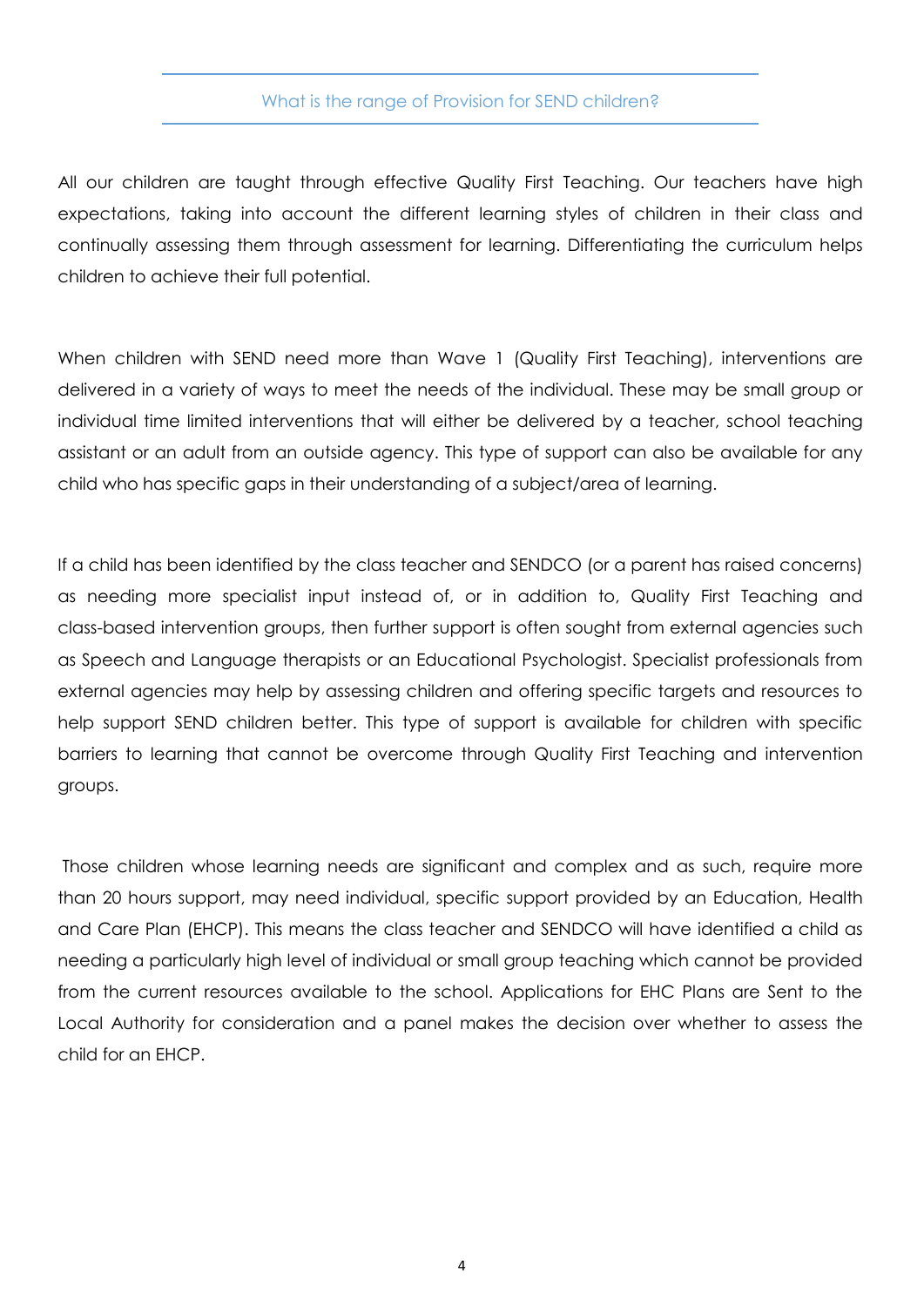#### What is the range of Provision for SEND children?

All our children are taught through effective Quality First Teaching. Our teachers have high expectations, taking into account the different learning styles of children in their class and continually assessing them through assessment for learning. Differentiating the curriculum helps children to achieve their full potential.

When children with SEND need more than Wave 1 (Quality First Teaching), interventions are delivered in a variety of ways to meet the needs of the individual. These may be small group or individual time limited interventions that will either be delivered by a teacher, school teaching assistant or an adult from an outside agency. This type of support can also be available for any child who has specific gaps in their understanding of a subject/area of learning.

If a child has been identified by the class teacher and SENDCO (or a parent has raised concerns) as needing more specialist input instead of, or in addition to, Quality First Teaching and class-based intervention groups, then further support is often sought from external agencies such as Speech and Language therapists or an Educational Psychologist. Specialist professionals from external agencies may help by assessing children and offering specific targets and resources to help support SEND children better. This type of support is available for children with specific barriers to learning that cannot be overcome through Quality First Teaching and intervention groups.

Those children whose learning needs are significant and complex and as such, require more than 20 hours support, may need individual, specific support provided by an Education, Health and Care Plan (EHCP). This means the class teacher and SENDCO will have identified a child as needing a particularly high level of individual or small group teaching which cannot be provided from the current resources available to the school. Applications for EHC Plans are Sent to the Local Authority for consideration and a panel makes the decision over whether to assess the child for an EHCP.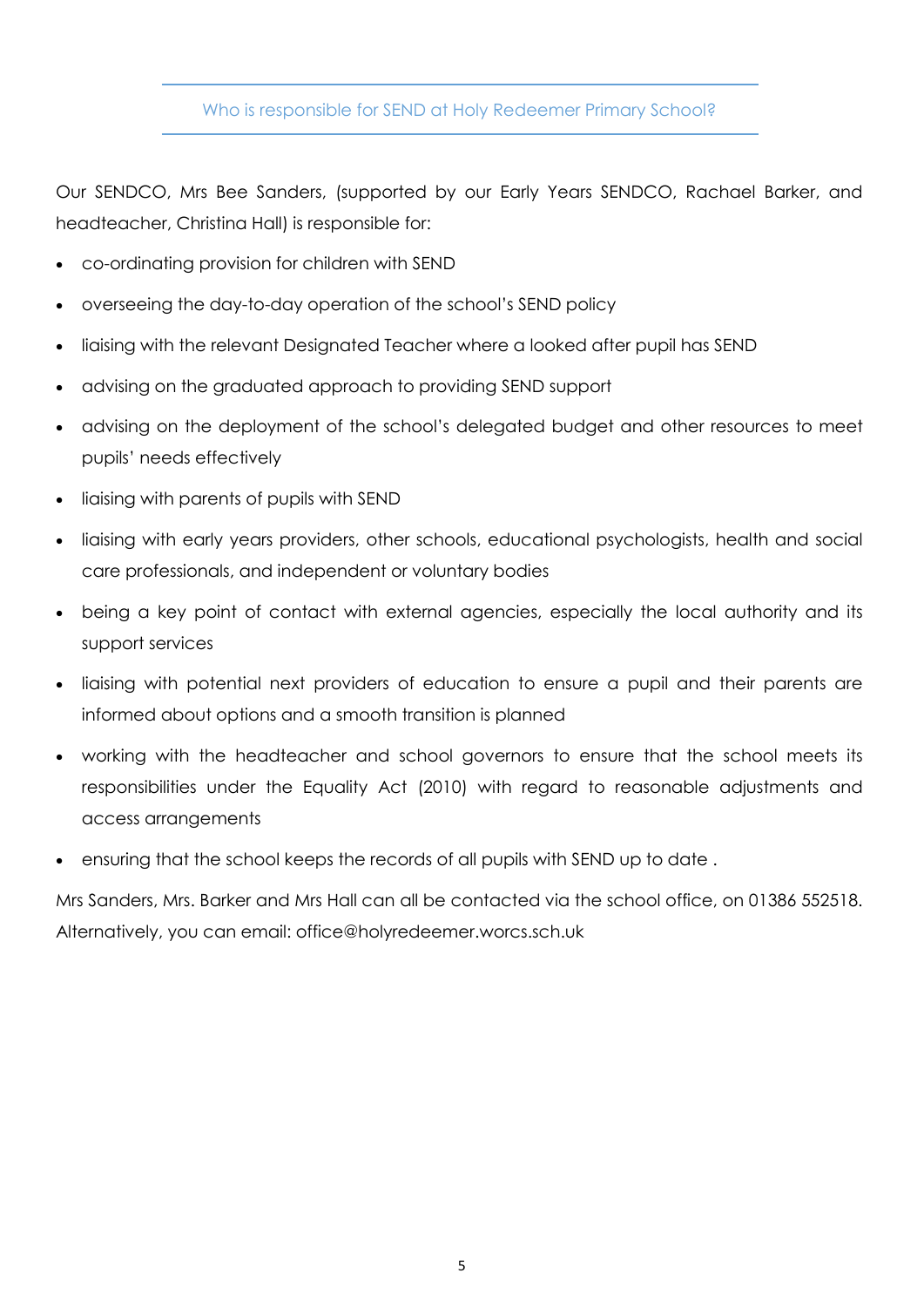#### Who is responsible for SEND at Holy Redeemer Primary School?

Our SENDCO, Mrs Bee Sanders, (supported by our Early Years SENDCO, Rachael Barker, and headteacher, Christina Hall) is responsible for:

- co-ordinating provision for children with SEND
- overseeing the day-to-day operation of the school's SEND policy
- liaising with the relevant Designated Teacher where a looked after pupil has SEND
- advising on the graduated approach to providing SEND support
- advising on the deployment of the school's delegated budget and other resources to meet pupils' needs effectively
- liaising with parents of pupils with SEND
- liaising with early years providers, other schools, educational psychologists, health and social care professionals, and independent or voluntary bodies
- being a key point of contact with external agencies, especially the local authority and its support services
- liaising with potential next providers of education to ensure a pupil and their parents are informed about options and a smooth transition is planned
- working with the headteacher and school governors to ensure that the school meets its responsibilities under the Equality Act (2010) with regard to reasonable adjustments and access arrangements
- ensuring that the school keeps the records of all pupils with SEND up to date .

Mrs Sanders, Mrs. Barker and Mrs Hall can all be contacted via the school office, on 01386 552518. Alternatively, you can email: office@holyredeemer.worcs.sch.uk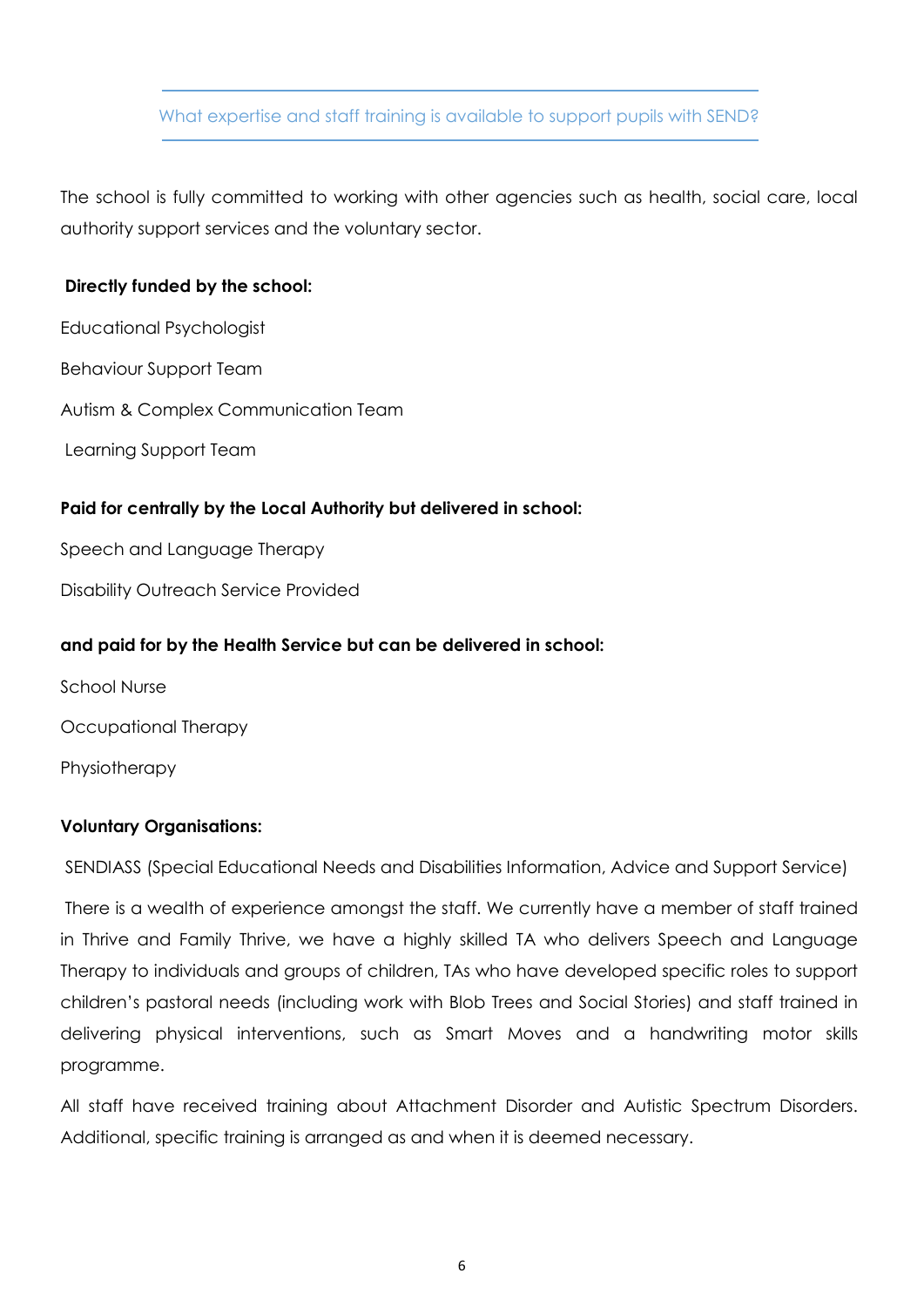## What expertise and staff training is available to support pupils with SEND?

The school is fully committed to working with other agencies such as health, social care, local authority support services and the voluntary sector.

#### **Directly funded by the school:**

Educational Psychologist Behaviour Support Team Autism & Complex Communication Team Learning Support Team

### **Paid for centrally by the Local Authority but delivered in school:**

Speech and Language Therapy

Disability Outreach Service Provided

#### **and paid for by the Health Service but can be delivered in school:**

School Nurse Occupational Therapy Physiotherapy

## **Voluntary Organisations:**

SENDIASS (Special Educational Needs and Disabilities Information, Advice and Support Service)

There is a wealth of experience amongst the staff. We currently have a member of staff trained in Thrive and Family Thrive, we have a highly skilled TA who delivers Speech and Language Therapy to individuals and groups of children, TAs who have developed specific roles to support children's pastoral needs (including work with Blob Trees and Social Stories) and staff trained in delivering physical interventions, such as Smart Moves and a handwriting motor skills programme.

All staff have received training about Attachment Disorder and Autistic Spectrum Disorders. Additional, specific training is arranged as and when it is deemed necessary.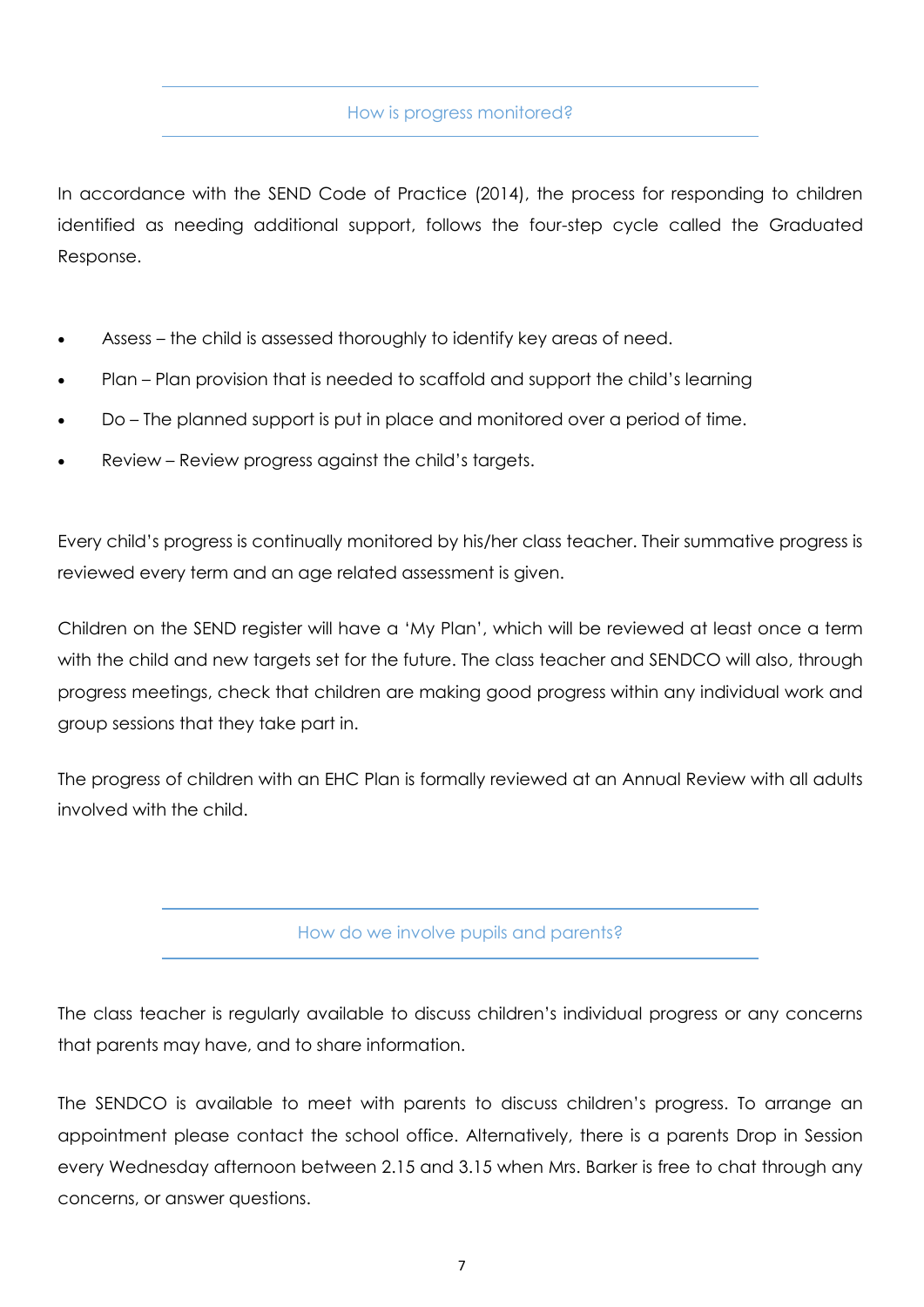In accordance with the SEND Code of Practice (2014), the process for responding to children identified as needing additional support, follows the four-step cycle called the Graduated Response.

- Assess the child is assessed thoroughly to identify key areas of need.
- Plan Plan provision that is needed to scaffold and support the child's learning
- Do The planned support is put in place and monitored over a period of time.
- Review Review progress against the child's targets.

Every child's progress is continually monitored by his/her class teacher. Their summative progress is reviewed every term and an age related assessment is given.

Children on the SEND register will have a 'My Plan', which will be reviewed at least once a term with the child and new targets set for the future. The class teacher and SENDCO will also, through progress meetings, check that children are making good progress within any individual work and group sessions that they take part in.

The progress of children with an EHC Plan is formally reviewed at an Annual Review with all adults involved with the child.

#### How do we involve pupils and parents?

The class teacher is regularly available to discuss children's individual progress or any concerns that parents may have, and to share information.

The SENDCO is available to meet with parents to discuss children's progress. To arrange an appointment please contact the school office. Alternatively, there is a parents Drop in Session every Wednesday afternoon between 2.15 and 3.15 when Mrs. Barker is free to chat through any concerns, or answer questions.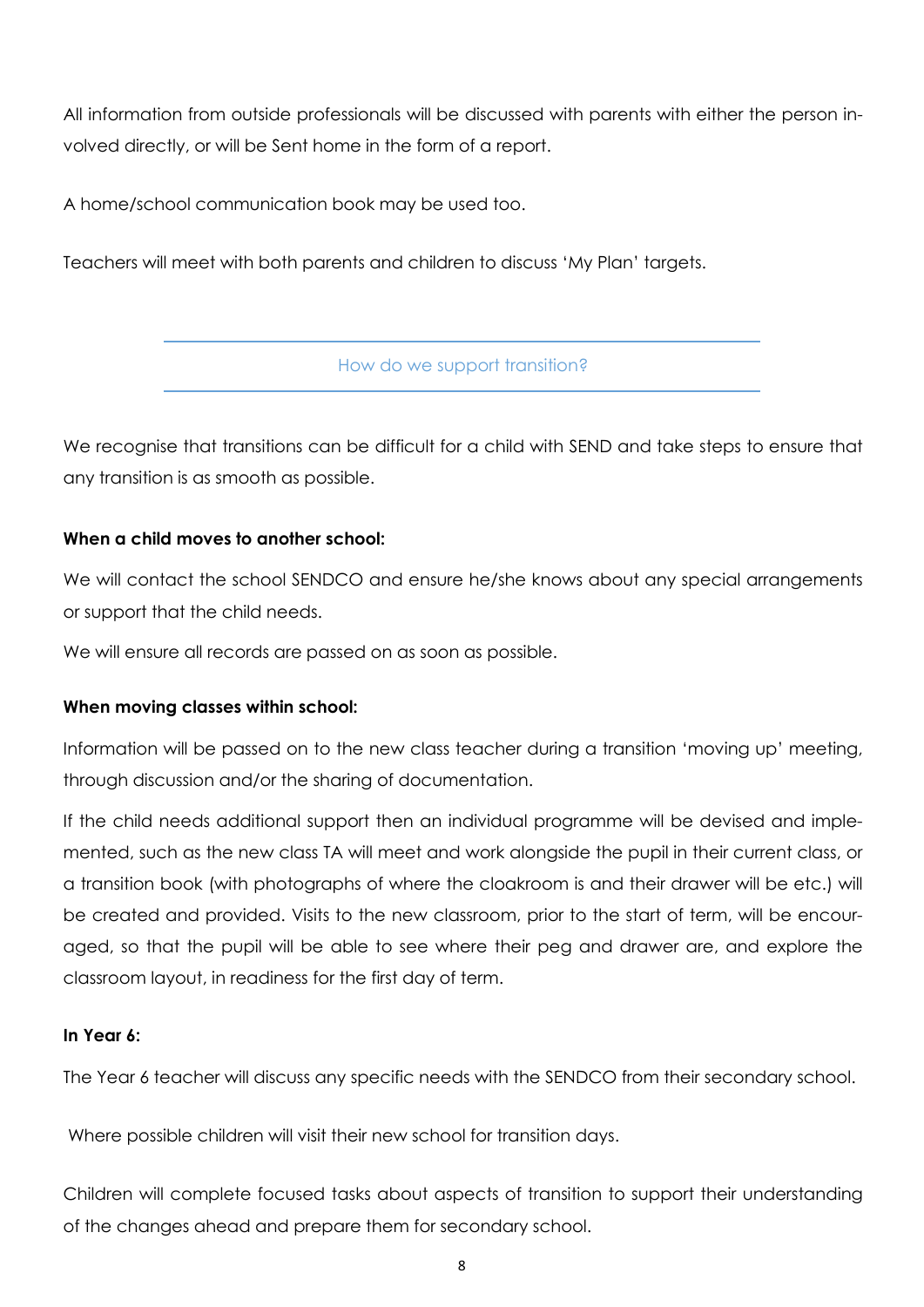All information from outside professionals will be discussed with parents with either the person involved directly, or will be Sent home in the form of a report.

A home/school communication book may be used too.

Teachers will meet with both parents and children to discuss 'My Plan' targets.

How do we support transition?

We recognise that transitions can be difficult for a child with SEND and take steps to ensure that any transition is as smooth as possible.

## **When a child moves to another school:**

We will contact the school SENDCO and ensure he/she knows about any special arrangements or support that the child needs.

We will ensure all records are passed on as soon as possible.

## **When moving classes within school:**

Information will be passed on to the new class teacher during a transition 'moving up' meeting, through discussion and/or the sharing of documentation.

If the child needs additional support then an individual programme will be devised and implemented, such as the new class TA will meet and work alongside the pupil in their current class, or a transition book (with photographs of where the cloakroom is and their drawer will be etc.) will be created and provided. Visits to the new classroom, prior to the start of term, will be encouraged, so that the pupil will be able to see where their peg and drawer are, and explore the classroom layout, in readiness for the first day of term.

#### **In Year 6:**

The Year 6 teacher will discuss any specific needs with the SENDCO from their secondary school.

Where possible children will visit their new school for transition days.

Children will complete focused tasks about aspects of transition to support their understanding of the changes ahead and prepare them for secondary school.